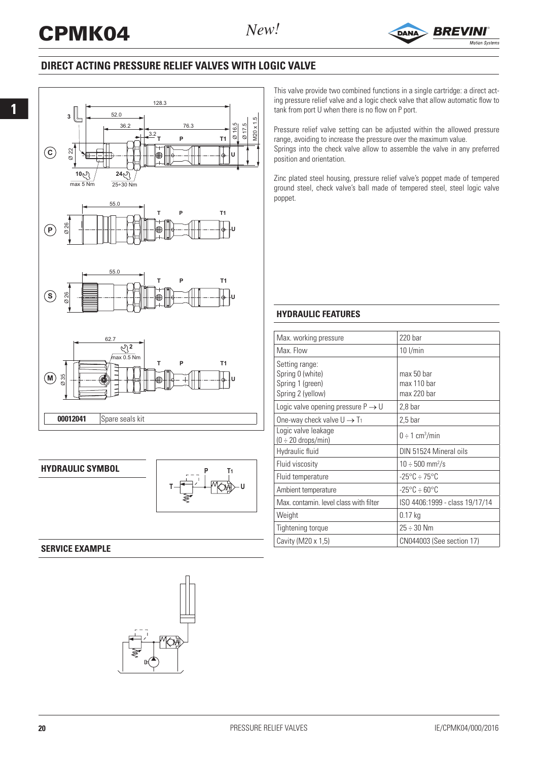

# **DIRECT ACTING PRESSURE RELIEF VALVES WITH LOGIC VALVE**





**HYDRAULIC SYMBOL**



## **SERVICE EXAMPLE**



This valve provide two combined functions in a single cartridge: a direct acting pressure relief valve and a logic check valve that allow automatic flow to tank from port U when there is no flow on P port.

Pressure relief valve setting can be adjusted within the allowed pressure range, avoiding to increase the pressure over the maximum value. Springs into the check valve allow to assemble the valve in any preferred position and orientation.

Zinc plated steel housing, pressure relief valve's poppet made of tempered ground steel, check valve's ball made of tempered steel, steel logic valve poppet.

### **HYDRAULIC FEATURES**

| Max. working pressure                                                       | $220$ bar                                |
|-----------------------------------------------------------------------------|------------------------------------------|
| Max. Flow                                                                   | $10$ I/min                               |
| Setting range:<br>Spring 0 (white)<br>Spring 1 (green)<br>Spring 2 (yellow) | max 50 har<br>max 110 bar<br>max 220 bar |
| Logic valve opening pressure $P \rightarrow U$                              | $2,8$ bar                                |
| One-way check valve $U \rightarrow T_1$                                     | $2,5$ bar                                |
| Logic valve leakage<br>$(0 \div 20$ drops/min)                              | $0 \div 1$ cm <sup>3</sup> /min          |
| Hydraulic fluid                                                             | DIN 51524 Mineral oils                   |
| Fluid viscosity                                                             | $10 \div 500 \text{ mm}^2/\text{s}$      |
| Fluid temperature                                                           | $-25^{\circ}$ C $\div$ 75°C              |
| Ambient temperature                                                         | $-25^{\circ}$ C $\div$ 60°C              |
| Max, contamin, level class with filter                                      | ISO 4406:1999 - class 19/17/14           |
| Weight                                                                      | $0.17$ kg                                |
| Tightening torque                                                           | $25 \div 30$ Nm                          |
| Cavity (M20 x 1,5)                                                          | CN044003 (See section 17)                |